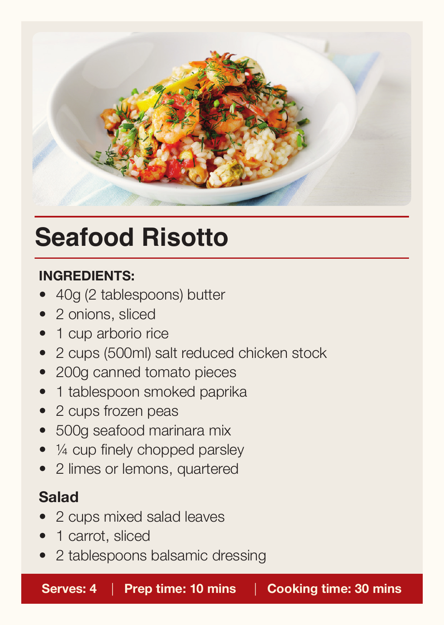

## **Seafood Risotto**

#### **INGREDIENTS:**

- 40g (2 tablespoons) butter
- 2 onions, sliced
- 1 cup arborio rice
- 2 cups (500ml) salt reduced chicken stock
- 200g canned tomato pieces
- 1 tablespoon smoked paprika
- 2 cups frozen peas
- 500g seafood marinara mix
- $\bullet$   $\frac{1}{4}$  cup finely chopped parsley
- 2 limes or lemons, quartered

### **Salad**

- 2 cups mixed salad leaves
- 1 carrot, sliced
- 2 tablespoons balsamic dressing